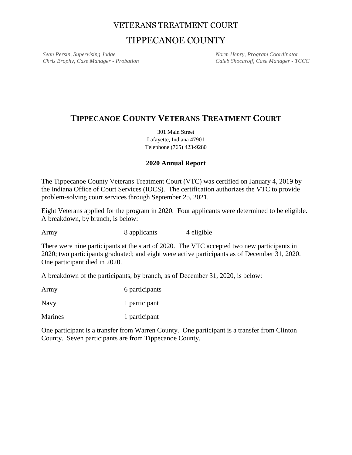## VETERANS TREATMENT COURT

# TIPPECANOE COUNTY

**Sean Persin, Supervising Judge Sean Persin, Supervising Judge Norm Henry, Program Coordinator** *Chris Brophy, Case Manager - Probation Caleb Shocaroff, Case Manager - TCCC*

## **TIPPECANOE COUNTY VETERANS TREATMENT COURT**

301 Main Street Lafayette, Indiana 47901 Telephone (765) 423-9280

### **2020 Annual Report**

The Tippecanoe County Veterans Treatment Court (VTC) was certified on January 4, 2019 by the Indiana Office of Court Services (IOCS). The certification authorizes the VTC to provide problem-solving court services through September 25, 2021.

Eight Veterans applied for the program in 2020. Four applicants were determined to be eligible. A breakdown, by branch, is below:

Army 8 applicants 4 eligible

There were nine participants at the start of 2020. The VTC accepted two new participants in 2020; two participants graduated; and eight were active participants as of December 31, 2020. One participant died in 2020.

A breakdown of the participants, by branch, as of December 31, 2020, is below:

Army 6 participants Navy 1 participant

Marines 1 participant

One participant is a transfer from Warren County. One participant is a transfer from Clinton County. Seven participants are from Tippecanoe County.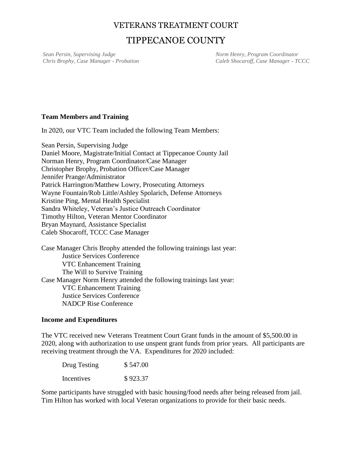### VETERANS TREATMENT COURT

# TIPPECANOE COUNTY

**Sean Persin, Supervising Judge Sean Persin, Supervising Judge Norm Henry, Program Coordinator** *Chris Brophy, Case Manager - Probation Caleb Shocaroff, Case Manager - TCCC*

### **Team Members and Training**

In 2020, our VTC Team included the following Team Members:

Sean Persin, Supervising Judge Daniel Moore, Magistrate/Initial Contact at Tippecanoe County Jail Norman Henry, Program Coordinator/Case Manager Christopher Brophy, Probation Officer/Case Manager Jennifer Prange/Administrator Patrick Harrington/Matthew Lowry, Prosecuting Attorneys Wayne Fountain/Rob Little/Ashley Spolarich, Defense Attorneys Kristine Ping, Mental Health Specialist Sandra Whiteley, Veteran's Justice Outreach Coordinator Timothy Hilton, Veteran Mentor Coordinator Bryan Maynard, Assistance Specialist Caleb Shocaroff, TCCC Case Manager

Case Manager Chris Brophy attended the following trainings last year: Justice Services Conference VTC Enhancement Training The Will to Survive Training Case Manager Norm Henry attended the following trainings last year: VTC Enhancement Training Justice Services Conference NADCP Rise Conference

#### **Income and Expenditures**

The VTC received new Veterans Treatment Court Grant funds in the amount of \$5,500.00 in 2020, along with authorization to use unspent grant funds from prior years. All participants are receiving treatment through the VA. Expenditures for 2020 included:

| Drug Testing | \$547.00 |
|--------------|----------|
| Incentives   | \$923.37 |

Some participants have struggled with basic housing/food needs after being released from jail. Tim Hilton has worked with local Veteran organizations to provide for their basic needs.